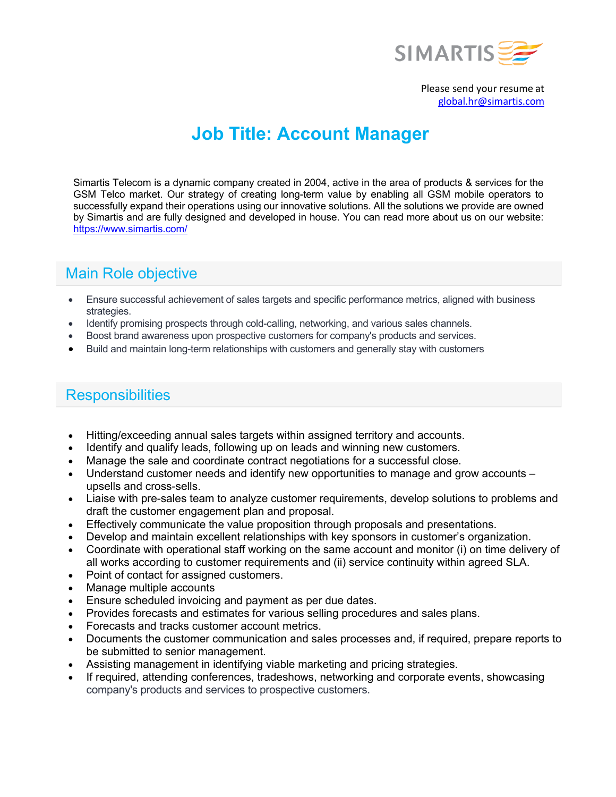

Please send your resume at global.hr@simartis.com

# **Job Title: Account Manager**

Simartis Telecom is a dynamic company created in 2004, active in the area of products & services for the GSM Telco market. Our strategy of creating long-term value by enabling all GSM mobile operators to successfully expand their operations using our innovative solutions. All the solutions we provide are owned by Simartis and are fully designed and developed in house. You can read more about us on our website: https://www.simartis.com/

# Main Role objective

- Ensure successful achievement of sales targets and specific performance metrics, aligned with business strategies.
- Identify promising prospects through cold-calling, networking, and various sales channels.
- Boost brand awareness upon prospective customers for company's products and services.
- Build and maintain long-term relationships with customers and generally stay with customers

## **Responsibilities**

- Hitting/exceeding annual sales targets within assigned territory and accounts.
- Identify and qualify leads, following up on leads and winning new customers.
- Manage the sale and coordinate contract negotiations for a successful close.
- Understand customer needs and identify new opportunities to manage and grow accounts upsells and cross-sells.
- Liaise with pre-sales team to analyze customer requirements, develop solutions to problems and draft the customer engagement plan and proposal.
- Effectively communicate the value proposition through proposals and presentations.
- Develop and maintain excellent relationships with key sponsors in customer's organization.
- Coordinate with operational staff working on the same account and monitor (i) on time delivery of all works according to customer requirements and (ii) service continuity within agreed SLA.
- Point of contact for assigned customers.
- Manage multiple accounts
- Ensure scheduled invoicing and payment as per due dates.
- Provides forecasts and estimates for various selling procedures and sales plans.
- Forecasts and tracks customer account metrics.
- Documents the customer communication and sales processes and, if required, prepare reports to be submitted to senior management.
- Assisting management in identifying viable marketing and pricing strategies.
- If required, attending conferences, tradeshows, networking and corporate events, showcasing company's products and services to prospective customers.